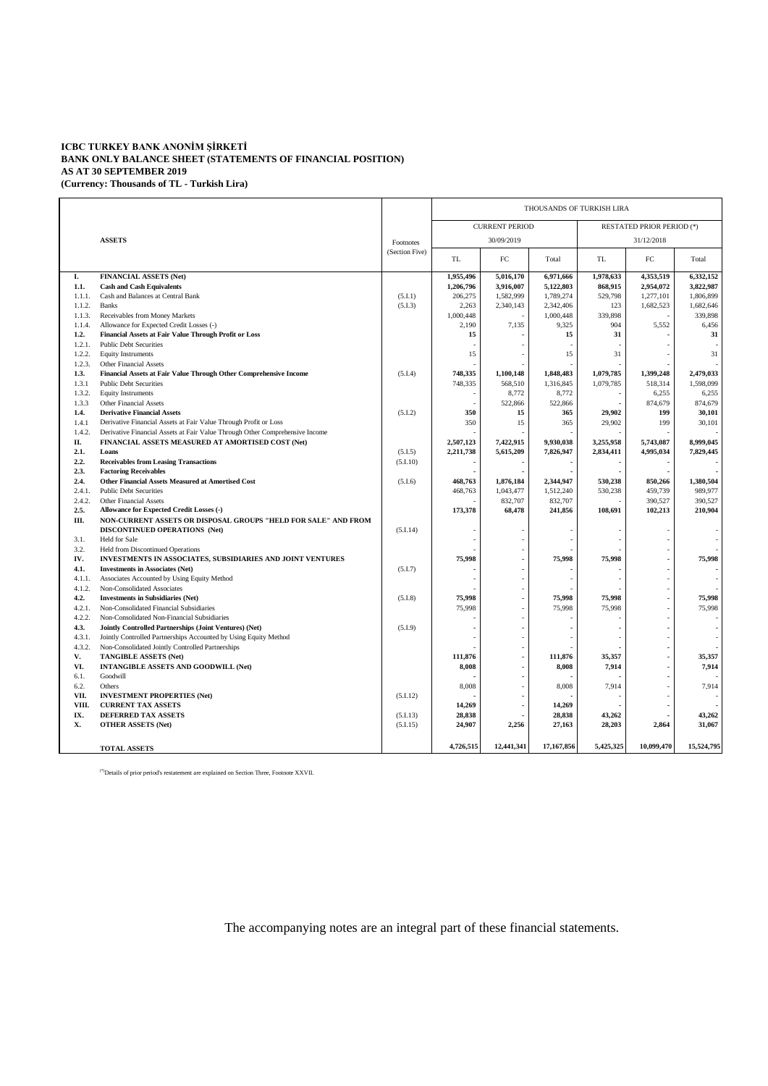## **ICBC TURKEY BANK ANONİM ŞİRKETİ BANK ONLY BALANCE SHEET (STATEMENTS OF FINANCIAL POSITION) AS AT 30 SEPTEMBER 2019 (Currency: Thousands of TL - Turkish Lira)**

|                 |                                                                                                        |           | THOUSANDS OF TURKISH LIRA                                 |                  |                    |            |                  |                    |  |
|-----------------|--------------------------------------------------------------------------------------------------------|-----------|-----------------------------------------------------------|------------------|--------------------|------------|------------------|--------------------|--|
|                 |                                                                                                        |           | <b>CURRENT PERIOD</b><br><b>RESTATED PRIOR PERIOD (*)</b> |                  |                    |            |                  |                    |  |
|                 | <b>ASSETS</b>                                                                                          | Footnotes |                                                           | 30/09/2019       |                    | 31/12/2018 |                  |                    |  |
|                 |                                                                                                        |           | TL                                                        | FC               | Total              | TL         | FC               | Total              |  |
| I.              | <b>FINANCIAL ASSETS (Net)</b>                                                                          |           | 1,955,496                                                 | 5,016,170        | 6,971,666          | 1,978,633  | 4,353,519        | 6,332,152          |  |
| 1.1.            | <b>Cash and Cash Equivalents</b>                                                                       |           | 1,206,796                                                 | 3,916,007        | 5,122,803          | 868,915    | 2,954,072        | 3,822,987          |  |
| 1.1.1.          | Cash and Balances at Central Bank                                                                      | (5.I.1)   | 206,275                                                   | 1,582,999        | 1,789,274          | 529,798    | 1,277,101        | 1,806,899          |  |
| 1.1.2.          | <b>Banks</b>                                                                                           | (5.I.3)   | 2,263                                                     | 2,340,143        | 2,342,406          | 123        | 1,682,523        | 1,682,646          |  |
| 1.1.3.          | Receivables from Money Markets                                                                         |           | 1,000,448                                                 |                  | 1,000,448          | 339,898    |                  | 339,898            |  |
| 1.1.4.          | Allowance for Expected Credit Losses (-)                                                               |           | 2,190                                                     | 7,135            | 9,325              | 904        | 5,552            | 6,456              |  |
| 1.2.            | Financial Assets at Fair Value Through Profit or Loss                                                  |           | 15                                                        |                  | 15                 | 31         |                  | 31                 |  |
| 1.2.1.          | <b>Public Debt Securities</b>                                                                          |           |                                                           |                  |                    |            |                  |                    |  |
| 1.2.2.          | <b>Equity Instruments</b>                                                                              |           | 15                                                        |                  | 15                 | 31         |                  | 31                 |  |
| 1.2.3.          | <b>Other Financial Assets</b>                                                                          |           |                                                           |                  |                    |            |                  |                    |  |
| 1.3.            | Financial Assets at Fair Value Through Other Comprehensive Income                                      | (5.I.4)   | 748,335                                                   | 1,100,148        | 1,848,483          | 1,079,785  | 1,399,248        | 2,479,033          |  |
| 1.3.1<br>1.3.2. | <b>Public Debt Securities</b>                                                                          |           | 748,335                                                   | 568,510<br>8,772 | 1,316,845<br>8,772 | 1,079,785  | 518,314<br>6,255 | 1,598,099<br>6,255 |  |
|                 | <b>Equity Instruments</b>                                                                              |           |                                                           |                  |                    |            |                  |                    |  |
| 1.3.3<br>1.4.   | <b>Other Financial Assets</b><br><b>Derivative Financial Assets</b>                                    | (5.I.2)   | 350                                                       | 522,866<br>15    | 522,866<br>365     | 29,902     | 874,679<br>199   | 874,679<br>30,101  |  |
| 1.4.1           | Derivative Financial Assets at Fair Value Through Profit or Loss                                       |           | 350                                                       | 15               | 365                | 29,902     | 199              | 30,101             |  |
| 1.4.2.          | Derivative Financial Assets at Fair Value Through Other Comprehensive Income                           |           |                                                           |                  |                    |            |                  |                    |  |
| П.              | FINANCIAL ASSETS MEASURED AT AMORTISED COST (Net)                                                      |           | 2,507,123                                                 | 7,422,915        | 9.930.038          | 3.255.958  | 5,743,087        | 8,999,045          |  |
| 2.1.            | Loans                                                                                                  | (5.1.5)   | 2,211,738                                                 | 5,615,209        | 7,826,947          | 2,834,411  | 4,995,034        | 7,829,445          |  |
| 2.2.            | <b>Receivables from Leasing Transactions</b>                                                           | (5.I.10)  |                                                           |                  |                    |            |                  |                    |  |
| 2.3.            | <b>Factoring Receivables</b>                                                                           |           |                                                           |                  |                    |            |                  |                    |  |
| 2.4.            | Other Financial Assets Measured at Amortised Cost                                                      | (5.I.6)   | 468,763                                                   | 1,876,184        | 2,344,947          | 530,238    | 850,266          | 1,380,504          |  |
| 2.4.1.          | <b>Public Debt Securities</b>                                                                          |           | 468,763                                                   | 1,043,477        | 1,512,240          | 530,238    | 459,739          | 989,977            |  |
| 2.4.2.          | <b>Other Financial Assets</b>                                                                          |           |                                                           | 832,707          | 832,707            |            | 390,527          | 390,527            |  |
| 2.5.            | Allowance for Expected Credit Losses (-)                                                               |           | 173,378                                                   | 68,478           | 241,856            | 108,691    | 102,213          | 210,904            |  |
| Ш.              | NON-CURRENT ASSETS OR DISPOSAL GROUPS "HELD FOR SALE" AND FROM<br><b>DISCONTINUED OPERATIONS (Net)</b> | (5.I.14)  |                                                           |                  |                    |            |                  |                    |  |
| 3.1.            | Held for Sale                                                                                          |           |                                                           |                  |                    |            |                  |                    |  |
| 3.2.            | <b>Held from Discontinued Operations</b>                                                               |           |                                                           |                  |                    |            |                  |                    |  |
| IV.             | INVESTMENTS IN ASSOCIATES, SUBSIDIARIES AND JOINT VENTURES                                             |           | 75,998                                                    |                  | 75,998             | 75,998     |                  | 75,998             |  |
| 4.1.            | <b>Investments in Associates (Net)</b>                                                                 | (5.I.7)   |                                                           |                  |                    |            |                  |                    |  |
| 4.1.1.          | Associates Accounted by Using Equity Method                                                            |           |                                                           |                  |                    |            |                  |                    |  |
| 4.1.2.          | Non-Consolidated Associates                                                                            |           |                                                           |                  |                    |            |                  |                    |  |
| 4.2.            | <b>Investments in Subsidiaries (Net)</b>                                                               | (5.I.8)   | 75,998                                                    |                  | 75,998             | 75,998     |                  | 75,998             |  |
| 4.2.1.          | Non-Consolidated Financial Subsidiaries                                                                |           | 75,998                                                    |                  | 75,998             | 75,998     |                  | 75,998             |  |
| 4.2.2.          | Non-Consolidated Non-Financial Subsidiaries                                                            |           |                                                           |                  |                    |            |                  |                    |  |
| 4.3.            | Jointly Controlled Partnerships (Joint Ventures) (Net)                                                 | (5.1.9)   |                                                           |                  |                    |            |                  |                    |  |
| 4.3.1.          | Jointly Controlled Partnerships Accounted by Using Equity Method                                       |           |                                                           |                  |                    |            |                  |                    |  |
| 4.3.2.<br>V.    | Non-Consolidated Jointly Controlled Partnerships<br><b>TANGIBLE ASSETS (Net)</b>                       |           | 111,876                                                   |                  | 111,876            | 35,357     |                  | 35,357             |  |
| VI.             | <b>INTANGIBLE ASSETS AND GOODWILL (Net)</b>                                                            |           | 8,008                                                     |                  | 8,008              | 7,914      |                  | 7,914              |  |
| 6.1.            | Goodwill                                                                                               |           |                                                           |                  |                    |            |                  |                    |  |
| 6.2.            | Others                                                                                                 |           | 8,008                                                     |                  | 8,008              | 7,914      |                  | 7,914              |  |
| VII.            | <b>INVESTMENT PROPERTIES (Net)</b>                                                                     | (5.1.12)  |                                                           |                  |                    |            |                  |                    |  |
| VIII.           | <b>CURRENT TAX ASSETS</b>                                                                              |           | 14,269                                                    |                  | 14,269             |            |                  |                    |  |
| IX.             | <b>DEFERRED TAX ASSETS</b>                                                                             | (5.I.13)  | 28,838                                                    |                  | 28,838             | 43,262     |                  | 43,262             |  |
| X.              | <b>OTHER ASSETS (Net)</b>                                                                              | (5.1.15)  | 24,907                                                    | 2,256            | 27,163             | 28,203     | 2,864            | 31,067             |  |
|                 |                                                                                                        |           |                                                           |                  |                    |            |                  |                    |  |
|                 | <b>TOTAL ASSETS</b>                                                                                    |           | 4,726,515                                                 | 12,441,341       | 17,167,856         | 5,425,325  | 10,099,470       | 15,524,795         |  |

(\*)Details of prior period's restatement are explained on Section Three, Footnote XXVII.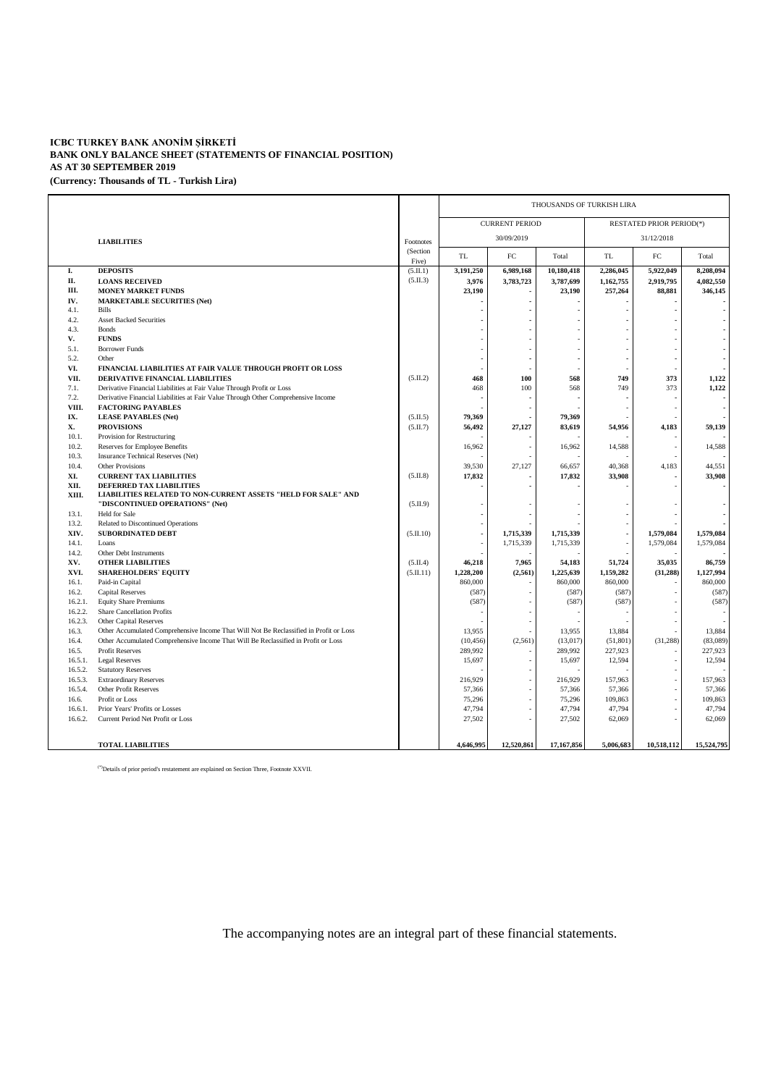## **ICBC TURKEY BANK ANONİM ŞİRKETİ BANK ONLY BALANCE SHEET (STATEMENTS OF FINANCIAL POSITION) AS AT 30 SEPTEMBER 2019 (Currency: Thousands of TL - Turkish Lira)**

|                |                                                                                        |                   | THOUSANDS OF TURKISH LIRA |            |            |                |                                 |            |  |  |
|----------------|----------------------------------------------------------------------------------------|-------------------|---------------------------|------------|------------|----------------|---------------------------------|------------|--|--|
|                |                                                                                        |                   | <b>CURRENT PERIOD</b>     |            |            |                | <b>RESTATED PRIOR PERIOD(*)</b> |            |  |  |
|                | <b>LIABILITIES</b>                                                                     | Footnotes         | 30/09/2019                |            |            | 31/12/2018     |                                 |            |  |  |
|                |                                                                                        | (Section<br>Five) | <b>TL</b>                 | FC         | Total      | <b>TL</b>      | FC                              | Total      |  |  |
| I.             | <b>DEPOSITS</b>                                                                        | (5.II.1)          | 3,191,250                 | 6,989,168  | 10,180,418 | 2,286,045      | 5,922,049                       | 8,208,094  |  |  |
| П.             | <b>LOANS RECEIVED</b>                                                                  | (5.II.3)          | 3,976                     | 3,783,723  | 3,787,699  | 1,162,755      | 2,919,795                       | 4,082,550  |  |  |
| III.           | <b>MONEY MARKET FUNDS</b>                                                              |                   | 23,190                    |            | 23,190     | 257,264        | 88,881                          | 346,145    |  |  |
| IV.            | <b>MARKETABLE SECURITIES (Net)</b>                                                     |                   |                           |            |            |                |                                 |            |  |  |
| 4.1.           | Bills                                                                                  |                   |                           |            |            |                |                                 |            |  |  |
| 4.2.           | <b>Asset Backed Securities</b>                                                         |                   |                           |            |            |                |                                 |            |  |  |
| 4.3.           | <b>Bonds</b>                                                                           |                   |                           |            |            |                |                                 |            |  |  |
| V.             | <b>FUNDS</b>                                                                           |                   |                           |            |            |                |                                 |            |  |  |
| 5.1.           | <b>Borrower Funds</b>                                                                  |                   |                           |            |            |                |                                 |            |  |  |
| 5.2.           | Other                                                                                  |                   |                           |            |            |                |                                 |            |  |  |
| VI.            | FINANCIAL LIABILITIES AT FAIR VALUE THROUGH PROFIT OR LOSS                             |                   |                           |            |            |                |                                 |            |  |  |
| VII.           | DERIVATIVE FINANCIAL LIABILITIES                                                       | (5.II.2)          | 468                       | 100        | 568        | 749            | 373                             | 1,122      |  |  |
| 7.1.           | Derivative Financial Liabilities at Fair Value Through Profit or Loss                  |                   | 468                       | 100        | 568        | 749            | 373                             | 1,122      |  |  |
| 7.2.           | Derivative Financial Liabilities at Fair Value Through Other Comprehensive Income      |                   |                           |            |            |                |                                 |            |  |  |
| VIII.          | <b>FACTORING PAYABLES</b>                                                              |                   |                           |            |            |                |                                 |            |  |  |
| IX.            | <b>LEASE PAYABLES (Net)</b>                                                            | (5.II.5)          | 79,369                    |            | 79,369     |                |                                 |            |  |  |
| X.             | <b>PROVISIONS</b>                                                                      | (5.II.7)          | 56,492                    | 27,127     | 83,619     | 54,956         | 4,183                           | 59,139     |  |  |
| 10.1.          | Provision for Restructuring                                                            |                   |                           |            |            |                |                                 |            |  |  |
| 10.2.          | Reserves for Employee Benefits                                                         |                   | 16,962                    |            | 16,962     | 14,588         |                                 | 14,588     |  |  |
| 10.3.          | Insurance Technical Reserves (Net)                                                     |                   |                           |            |            |                |                                 |            |  |  |
| 10.4.          | <b>Other Provisions</b>                                                                |                   | 39,530                    | 27.127     | 66,657     | 40.368         | 4,183                           | 44,551     |  |  |
| XI.            | <b>CURRENT TAX LIABILITIES</b>                                                         | (5.II.8)          | 17,832                    |            | 17,832     | 33,908         |                                 | 33,908     |  |  |
| XII.           | DEFERRED TAX LIABILITIES                                                               |                   |                           |            |            |                |                                 |            |  |  |
| XIII.          | LIABILITIES RELATED TO NON-CURRENT ASSETS "HELD FOR SALE" AND                          |                   |                           |            |            |                |                                 |            |  |  |
|                | "DISCONTINUED OPERATIONS" (Net)                                                        | (5.II.9)          |                           |            |            |                |                                 |            |  |  |
| 13.1.<br>13.2. | Held for Sale<br>Related to Discontinued Operations                                    |                   |                           |            |            |                |                                 |            |  |  |
| XIV.           | <b>SUBORDINATED DEBT</b>                                                               | (5.II.10)         | $\overline{\phantom{a}}$  | 1,715,339  | 1,715,339  | $\overline{a}$ | 1,579,084                       | 1,579,084  |  |  |
| 14.1.          | Loans                                                                                  |                   |                           | 1,715,339  | 1,715,339  |                | 1,579,084                       | 1,579,084  |  |  |
| 14.2.          | Other Debt Instruments                                                                 |                   |                           |            |            |                |                                 |            |  |  |
| XV.            | <b>OTHER LIABILITIES</b>                                                               | (5.II.4)          | 46,218                    | 7,965      | 54,183     | 51,724         | 35,035                          | 86,759     |  |  |
| XVI.           | <b>SHAREHOLDERS' EQUITY</b>                                                            | (5.II.11)         | 1,228,200                 | (2, 561)   | 1,225,639  | 1,159,282      | (31, 288)                       | 1,127,994  |  |  |
| 16.1.          | Paid-in Capital                                                                        |                   | 860,000                   |            | 860,000    | 860,000        |                                 | 860,000    |  |  |
| 16.2.          | <b>Capital Reserves</b>                                                                |                   | (587)                     |            | (587)      | (587)          |                                 | (587)      |  |  |
| 16.2.1.        | <b>Equity Share Premiums</b>                                                           |                   | (587)                     |            | (587)      | (587)          |                                 | (587)      |  |  |
| 16.2.2.        | <b>Share Cancellation Profits</b>                                                      |                   |                           |            |            |                |                                 |            |  |  |
| 16.2.3.        | <b>Other Capital Reserves</b>                                                          |                   |                           |            |            |                |                                 |            |  |  |
| 16.3.          | Other Accumulated Comprehensive Income That Will Not Be Reclassified in Profit or Loss |                   | 13,955                    |            | 13,955     | 13,884         |                                 | 13,884     |  |  |
| 16.4.          | Other Accumulated Comprehensive Income That Will Be Reclassified in Profit or Loss     |                   | (10, 456)                 | (2,561)    | (13, 017)  | (51, 801)      | (31, 288)                       | (83,089)   |  |  |
| 16.5.          | <b>Profit Reserves</b>                                                                 |                   | 289,992                   |            | 289,992    | 227,923        |                                 | 227,923    |  |  |
| 16.5.1.        | <b>Legal Reserves</b>                                                                  |                   | 15,697                    |            | 15,697     | 12,594         |                                 | 12,594     |  |  |
| 16.5.2.        | <b>Statutory Reserves</b>                                                              |                   |                           |            |            |                |                                 |            |  |  |
| 16.5.3.        | <b>Extraordinary Reserves</b>                                                          |                   | 216,929                   |            | 216,929    | 157,963        |                                 | 157,963    |  |  |
| 16.5.4.        | <b>Other Profit Reserves</b>                                                           |                   | 57,366                    |            | 57,366     | 57,366         |                                 | 57,366     |  |  |
| 16.6.          | Profit or Loss                                                                         |                   | 75,296                    |            | 75,296     | 109,863        |                                 | 109,863    |  |  |
| 16.6.1.        | Prior Years' Profits or Losses                                                         |                   | 47,794                    |            | 47,794     | 47,794         |                                 | 47,794     |  |  |
| 16.6.2.        | Current Period Net Profit or Loss                                                      |                   | 27,502                    |            | 27,502     | 62,069         |                                 | 62,069     |  |  |
|                |                                                                                        |                   |                           |            |            |                |                                 |            |  |  |
|                |                                                                                        |                   |                           |            |            |                |                                 |            |  |  |
|                | <b>TOTAL LIABILITIES</b>                                                               |                   | 4,646,995                 | 12,520,861 | 17,167,856 | 5,006,683      | 10,518,112                      | 15,524,795 |  |  |

 $\sp{(^*)}$  Details of prior period's restatement are explained on Section Three, Footnote XXVII.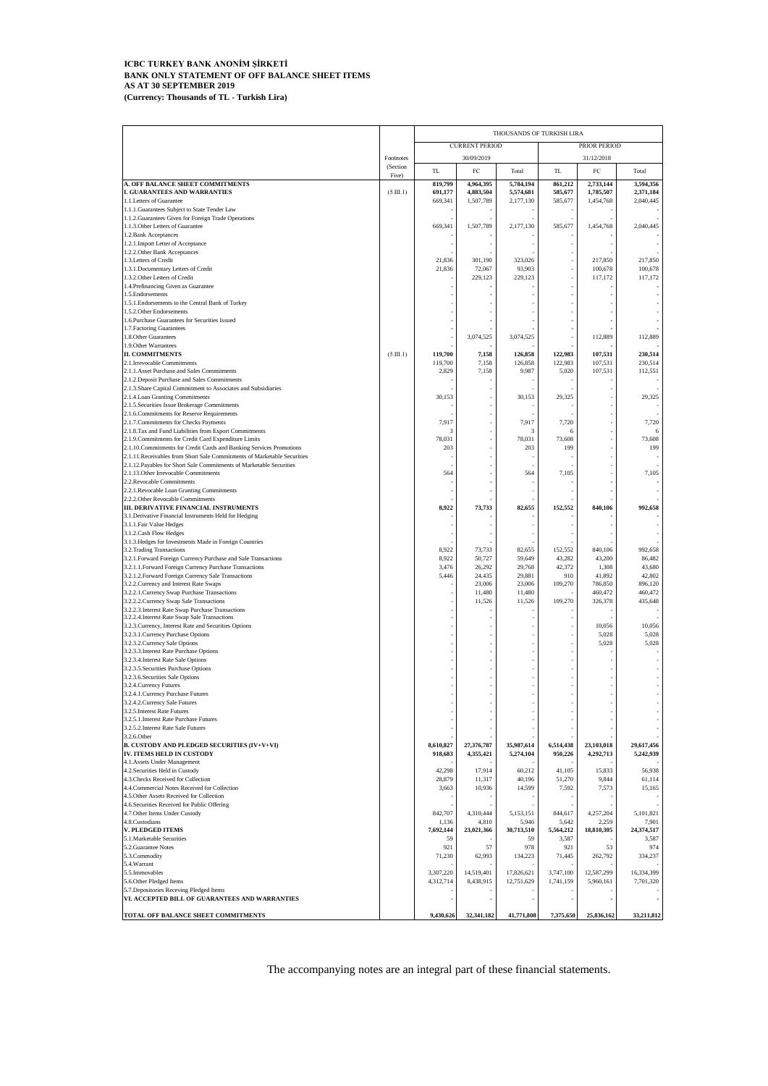#### **ICBC TURKEY BANK ANONİM ŞİRKETİ BANK ONLY STATEMENT OF OFF BALANCE SHEET ITEMS AS AT 30 SEPTEMBER 2019 (Currency: Thousands of TL - Turkish Lira)**

|                                                                                                                               |                   | THOUSANDS OF TURKISH LIRA |                         |                          |                        |                         |                          |  |
|-------------------------------------------------------------------------------------------------------------------------------|-------------------|---------------------------|-------------------------|--------------------------|------------------------|-------------------------|--------------------------|--|
|                                                                                                                               |                   |                           | <b>CURRENT PERIOD</b>   |                          |                        | PRIOR PERIOD            |                          |  |
|                                                                                                                               | Footnotes         |                           | 30/09/2019              |                          |                        |                         |                          |  |
|                                                                                                                               | (Section<br>Five) | TL                        | $_{\rm FC}$             | Total                    | TL                     | $_{\rm FC}$             | Total                    |  |
| A. OFF BALANCE SHEET COMMITMENTS                                                                                              |                   | 819,799                   | 4,964,395               | 5,784,194                | 861,212                | 2,733,144               | 3,594,356                |  |
| <b>I. GUARANTEES AND WARRANTIES</b><br>1.1. Letters of Guarantee                                                              | (5.III.1)         | 691,177<br>669,341        | 4,883,504<br>1,507,789  | 5,574,681<br>2,177,130   | 585,677<br>585,677     | 1,785,507<br>1,454,768  | 2,371,184<br>2,040,445   |  |
| 1.1.1. Guarantees Subject to State Tender Law                                                                                 |                   |                           |                         |                          |                        |                         |                          |  |
| 1.1.2. Guarantees Given for Foreign Trade Operations                                                                          |                   |                           |                         |                          |                        |                         |                          |  |
| 1.1.3. Other Letters of Guarantee<br>1.2. Bank Acceptances                                                                    |                   | 669,341                   | 1,507,789               | 2,177,130                | 585,677                | 1,454,768               | 2,040,445                |  |
| 1.2.1. Import Letter of Acceptance                                                                                            |                   |                           |                         |                          |                        |                         |                          |  |
| 1.2.2. Other Bank Acceptances                                                                                                 |                   |                           |                         |                          |                        |                         |                          |  |
| 1.3. Letters of Credit<br>1.3.1. Documentary Letters of Credit                                                                |                   | 21,836<br>21,836          | 301.190<br>72,067       | 323,026<br>93,903        |                        | 217,850<br>100,678      | 217,850<br>100,678       |  |
| 1.3.2. Other Letters of Credit                                                                                                |                   |                           | 229,123                 | 229,123                  |                        | 117,172                 | 117,172                  |  |
| 1.4. Prefinancing Given as Guarantee                                                                                          |                   |                           |                         |                          |                        |                         |                          |  |
| 1.5. Endorsements<br>1.5.1. Endorsements to the Central Bank of Turkey                                                        |                   |                           |                         |                          |                        |                         |                          |  |
| 1.5.2. Other Endorsements                                                                                                     |                   |                           |                         |                          |                        |                         |                          |  |
| 1.6. Purchase Guarantees for Securities Issued                                                                                |                   |                           |                         |                          |                        |                         |                          |  |
| 1.7. Factoring Guarantees                                                                                                     |                   |                           | 3,074,525               |                          |                        |                         |                          |  |
| 1.8. Other Guarantees<br>1.9. Other Warrantees                                                                                |                   |                           |                         | 3,074,525                |                        | 112,889                 | 112,889                  |  |
| <b>II. COMMITMENTS</b>                                                                                                        | (5.III.1)         | 119,700                   | 7,158                   | 126,858                  | 122,983                | 107,531                 | 230,514                  |  |
| 2.1. Irrevocable Commitments                                                                                                  |                   | 119,700                   | 7,158<br>7,158          | 126,858                  | 122,983<br>5,020       | 107,531<br>107,531      | 230,514<br>112,551       |  |
| 2.1.1. Asset Purchase and Sales Commitments<br>2.1.2. Deposit Purchase and Sales Commitments                                  |                   | 2,829                     |                         | 9,987                    |                        |                         |                          |  |
| 2.1.3. Share Capital Commitment to Associates and Subsidiaries                                                                |                   |                           |                         |                          |                        |                         |                          |  |
| 2.1.4. Loan Granting Commitments                                                                                              |                   | 30,153                    |                         | 30,153                   | 29,325                 |                         | 29,325                   |  |
| 2.1.5. Securities Issue Brokerage Commitments<br>2.1.6. Commitments for Reserve Requirements                                  |                   |                           |                         |                          |                        |                         |                          |  |
| 2.1.7. Commitments for Checks Payments                                                                                        |                   | 7,917                     |                         | 7,917                    | 7,720                  |                         | 7,720                    |  |
| 2.1.8. Tax and Fund Liabilities from Export Commitments                                                                       |                   | 3                         |                         | 3                        | 6                      |                         | 6                        |  |
| 2.1.9. Commitments for Credit Card Expenditure Limits<br>2.1.10. Commitments for Credit Cards and Banking Services Promotions |                   | 78,031<br>203             |                         | 78,031<br>203            | 73,608<br>199          |                         | 73,608<br>199            |  |
| 2.1.11. Receivables from Short Sale Commitments of Marketable Securities                                                      |                   |                           |                         |                          |                        |                         |                          |  |
| 2.1.12. Payables for Short Sale Commitments of Marketable Securities                                                          |                   |                           |                         |                          |                        |                         |                          |  |
| 2.1.13. Other Irrevocable Commitments<br>2.2.Revocable Commitments                                                            |                   | 564                       |                         | 564                      | 7,105                  |                         | 7,105<br>٠               |  |
| 2.2.1. Revocable Loan Granting Commitments                                                                                    |                   |                           |                         |                          |                        |                         |                          |  |
| 2.2.2. Other Revocable Commitments                                                                                            |                   |                           |                         |                          |                        |                         |                          |  |
| III. DERIVATIVE FINANCIAL INSTRUMENTS<br>3.1. Derivative Financial Instruments Held for Hedging                               |                   | 8,922                     | 73,733                  | 82,655                   | 152,552                | 840,106                 | 992,658                  |  |
| 3.1.1. Fair Value Hedges                                                                                                      |                   |                           |                         |                          |                        |                         |                          |  |
| 3.1.2. Cash Flow Hedges                                                                                                       |                   |                           |                         |                          |                        |                         |                          |  |
| 3.1.3. Hedges for Investments Made in Foreign Countries<br>3.2. Trading Transactions                                          |                   | 8,922                     | 73,733                  | 82,655                   | 152,552                | 840,106                 | 992,658                  |  |
| 3.2.1. Forward Foreign Currency Purchase and Sale Transactions                                                                |                   | 8,922                     | 50,727                  | 59,649                   | 43,282                 | 43,200                  | 86,482                   |  |
| 3.2.1.1. Forward Foreign Currency Purchase Transactions                                                                       |                   | 3,476                     | 26,292                  | 29,768                   | 42,372                 | 1,308                   | 43,680                   |  |
| 3.2.1.2. Forward Foreign Currency Sale Transactions<br>3.2.2. Currency and Interest Rate Swaps                                |                   | 5,446                     | 24,435<br>23,006        | 29,881<br>23,006         | 910<br>109,270         | 41,892<br>786,850       | 42,802<br>896,120        |  |
| 3.2.2.1. Currency Swap Purchase Transactions                                                                                  |                   |                           | 11,480                  | 11,480                   |                        | 460,472                 | 460,472                  |  |
| 3.2.2.2. Currency Swap Sale Transactions                                                                                      |                   |                           | 11,526                  | 11,526                   | 109,270                | 326,378                 | 435,648                  |  |
| 3.2.2.3. Interest Rate Swap Purchase Transactions<br>3.2.2.4. Interest Rate Swap Sale Transactions                            |                   |                           |                         |                          |                        |                         |                          |  |
| 3.2.3. Currency, Interest Rate and Securities Options                                                                         |                   |                           |                         |                          |                        | 10,056                  | 10,056                   |  |
| 3.2.3.1. Currency Purchase Options<br>3.2.3.2. Currency Sale Options                                                          |                   |                           |                         |                          |                        | 5,028<br>5,028          | 5,028<br>5,028           |  |
| 3.2.3.3. Interest Rate Purchase Options                                                                                       |                   |                           |                         |                          |                        |                         |                          |  |
| 3.2.3.4. Interest Rate Sale Options                                                                                           |                   |                           |                         |                          |                        |                         |                          |  |
| 3.2.3.5. Securities Purchase Options<br>3.2.3.6. Securities Sale Options                                                      |                   |                           |                         |                          |                        |                         |                          |  |
| 3.2.4. Currency Futures                                                                                                       |                   |                           |                         |                          |                        |                         |                          |  |
| 3.2.4.1. Currency Purchase Futures                                                                                            |                   |                           |                         |                          |                        |                         |                          |  |
| 3.2.4.2. Currency Sale Futures<br>3.2.5. Interest Rate Futures                                                                |                   |                           |                         |                          |                        |                         |                          |  |
| 3.2.5.1. Interest Rate Purchase Futures                                                                                       |                   |                           |                         |                          |                        |                         |                          |  |
| 3.2.5.2. Interest Rate Sale Futures                                                                                           |                   |                           |                         |                          |                        |                         |                          |  |
| 3.2.6. Other<br><b>B. CUSTODY AND PLEDGED SECURITIES (IV+V+VI)</b>                                                            |                   | 8,610,827                 | 27,376,787              | 35,987,614               | 6,514,438              | 23,103,018              | 29,617,456               |  |
| IV. ITEMS HELD IN CUSTODY                                                                                                     |                   | 918,683                   | 4,355,421               | 5,274,104                | 950,226                | 4,292,713               | 5,242,939                |  |
| 4.1. Assets Under Management                                                                                                  |                   |                           |                         |                          |                        |                         |                          |  |
| 4.2. Securities Held in Custody<br>4.3. Checks Received for Collection                                                        |                   | 42,298<br>28,879          | 17,914<br>11,317        | 60,212<br>40,196         | 41,105<br>51,270       | 15,833<br>9,844         | 56,938<br>61,114         |  |
| 4.4. Commercial Notes Received for Collection                                                                                 |                   | 3,663                     | 10,936                  | 14,599                   | 7,592                  | 7,573                   | 15,165                   |  |
| 4.5. Other Assets Received for Collection                                                                                     |                   |                           |                         |                          |                        |                         |                          |  |
| 4.6. Securities Received for Public Offering<br>4.7. Other Items Under Custody                                                |                   | 842,707                   | 4,310,444               | 5,153,151                | 844,617                | 4,257,204               | 5,101,821                |  |
| 4.8. Custodians                                                                                                               |                   | 1,136                     | 4,810                   | 5,946                    | 5,642                  | 2,259                   | 7,901                    |  |
| <b>V. PLEDGED ITEMS</b>                                                                                                       |                   | 7,692,144                 | 23,021,366              | 30,713,510               | 5,564,212              | 18,810,305              | 24,374,517               |  |
| 5.1. Marketable Securities<br>5.2. Guarantee Notes                                                                            |                   | 59<br>921                 | 57                      | 59<br>978                | 3,587<br>921           | 53                      | 3,587<br>974             |  |
| 5.3.Commodity                                                                                                                 |                   | 71,230                    | 62,993                  | 134,223                  | 71,445                 | 262,792                 | 334,237                  |  |
| 5.4. Warrant                                                                                                                  |                   |                           |                         |                          |                        |                         |                          |  |
| 5.5. Immovables<br>5.6. Other Pledged Items                                                                                   |                   | 3,307,220<br>4,312,714    | 14,519,401<br>8,438,915 | 17,826,621<br>12,751,629 | 3,747,100<br>1,741,159 | 12,587,299<br>5,960,161 | 16,334,399<br>7,701,320  |  |
| 5.7. Depositories Receving Pledged Items                                                                                      |                   |                           |                         |                          |                        |                         |                          |  |
| VI. ACCEPTED BILL OF GUARANTEES AND WARRANTIES                                                                                |                   |                           |                         |                          |                        |                         | $\overline{\phantom{a}}$ |  |
| TOTAL OFF BALANCE SHEET COMMITMENTS                                                                                           |                   | 9,430,626                 | 32,341,182              | 41,771,808               | 7,375,650              | 25,836,162              | 33,211,812               |  |
|                                                                                                                               |                   |                           |                         |                          |                        |                         |                          |  |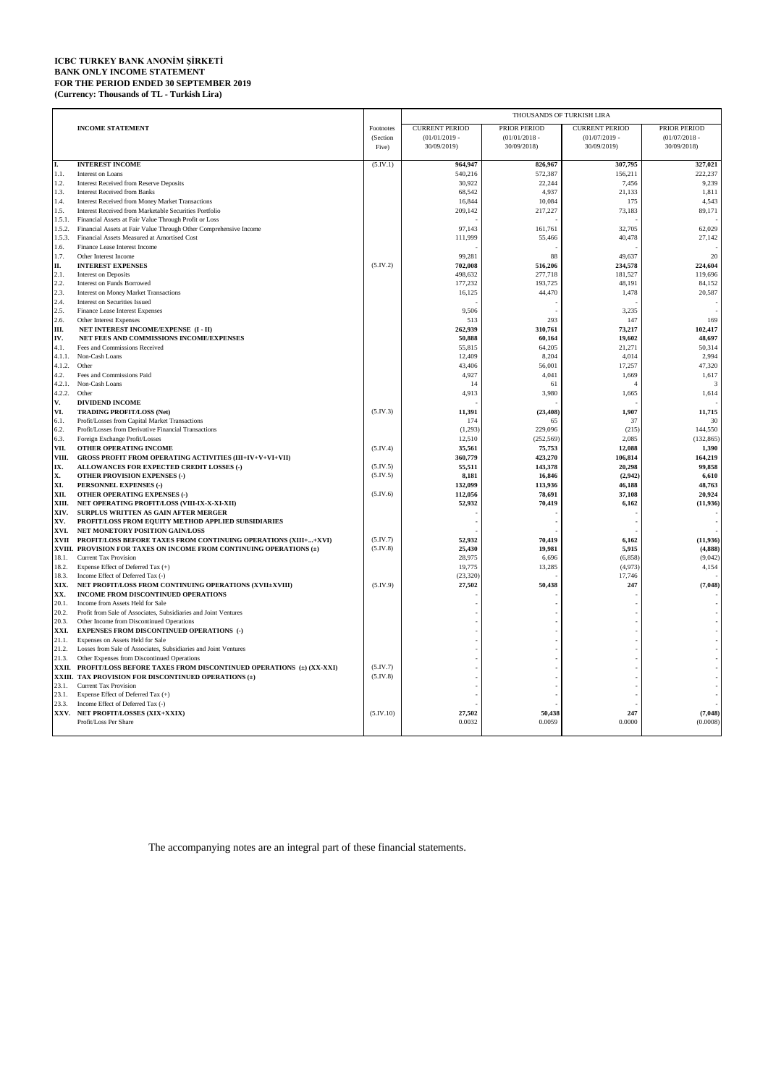### **ICBC TURKEY BANK ANONİM ŞİRKETİ BANK ONLY INCOME STATEMENT FOR THE PERIOD ENDED 30 SEPTEMBER 2019 (Currency: Thousands of TL - Turkish Lira)**

|                  |                                                                                                                            |           | THOUSANDS OF TURKISH LIRA |                   |                       |                       |  |  |
|------------------|----------------------------------------------------------------------------------------------------------------------------|-----------|---------------------------|-------------------|-----------------------|-----------------------|--|--|
|                  | <b>INCOME STATEMENT</b>                                                                                                    | Footnotes | <b>CURRENT PERIOD</b>     | PRIOR PERIOD      | <b>CURRENT PERIOD</b> | PRIOR PERIOD          |  |  |
|                  |                                                                                                                            | (Section  | $(01/01/2019 -$           | $(01/01/2018 -$   | $(01/07/2019 -$       | $(01/07/2018 -$       |  |  |
|                  |                                                                                                                            | Five)     | 30/09/2019)               | 30/09/2018)       | 30/09/2019)           | 30/09/2018)           |  |  |
| I.               | <b>INTEREST INCOME</b>                                                                                                     | (5.IV.1)  | 964,947                   | 826,967           | 307,795               | 327,021               |  |  |
| 1.1.             | Interest on Loans                                                                                                          |           | 540,216                   | 572,387           | 156,211               | 222,237               |  |  |
| 1.2.             | <b>Interest Received from Reserve Deposits</b>                                                                             |           | 30,922                    | 22,244            | 7,456                 | 9,239                 |  |  |
| 1.3.             | <b>Interest Received from Banks</b>                                                                                        |           | 68,542                    | 4,937             | 21,133                | 1,811                 |  |  |
| 1.4.             | Interest Received from Money Market Transactions                                                                           |           | 16,844                    | 10,084            | 175                   | 4,543                 |  |  |
| 1.5.             | Interest Received from Marketable Securities Portfolio                                                                     |           | 209,142                   | 217,227           | 73,183                | 89,171                |  |  |
| 1.5.1.<br>1.5.2. | Financial Assets at Fair Value Through Profit or Loss<br>Financial Assets at Fair Value Through Other Comprehensive Income |           | 97,143                    | 161,761           | 32,705                | 62,029                |  |  |
| 1.5.3.           | Financial Assets Measured at Amortised Cost                                                                                |           | 111,999                   | 55,466            | 40,478                | 27,142                |  |  |
| 1.6.             | Finance Lease Interest Income                                                                                              |           |                           |                   |                       |                       |  |  |
| 1.7.             | Other Interest Income                                                                                                      |           | 99,281                    | 88                | 49,637                | 20                    |  |  |
| П.               | <b>INTEREST EXPENSES</b>                                                                                                   | (5.IV.2)  | 702,008                   | 516,206           | 234,578               | 224,604               |  |  |
| 2.1.             | Interest on Deposits                                                                                                       |           | 498,632                   | 277,718           | 181,527               | 119,696               |  |  |
| 2.2.             | Interest on Funds Borrowed                                                                                                 |           | 177,232                   | 193,725           | 48,191                | 84,152                |  |  |
| 2.3.             | <b>Interest on Money Market Transactions</b>                                                                               |           | 16,125                    | 44,470            | 1,478                 | 20,587                |  |  |
| 2.4.<br>2.5.     | Interest on Securities Issued<br>Finance Lease Interest Expenses                                                           |           | 9,506                     |                   | 3,235                 |                       |  |  |
| 2.6.             | Other Interest Expenses                                                                                                    |           | 513                       | 293               | 147                   | 169                   |  |  |
| Ш.               | NET INTEREST INCOME/EXPENSE (I - II)                                                                                       |           | 262,939                   | 310,761           | 73,217                | 102,417               |  |  |
| IV.              | NET FEES AND COMMISSIONS INCOME/EXPENSES                                                                                   |           | 50,888                    | 60,164            | 19,602                | 48,697                |  |  |
| 4.1.             | Fees and Commissions Received                                                                                              |           | 55,815                    | 64,205            | 21,271                | 50,314                |  |  |
| 4.1.1.           | Non-Cash Loans                                                                                                             |           | 12,409                    | 8,204             | 4,014                 | 2,994                 |  |  |
| 4.1.2.           | Other                                                                                                                      |           | 43,406                    | 56,001            | 17,257                | 47,320                |  |  |
| 4.2.             | Fees and Commissions Paid                                                                                                  |           | 4,927                     | 4,041             | 1,669<br>4            | 1,617                 |  |  |
| 4.2.1.<br>4.2.2. | Non-Cash Loans<br>Other                                                                                                    |           | 14<br>4,913               | 61<br>3,980       | 1,665                 | 3<br>1,614            |  |  |
| V.               | <b>DIVIDEND INCOME</b>                                                                                                     |           |                           |                   |                       |                       |  |  |
| VI.              | <b>TRADING PROFIT/LOSS (Net)</b>                                                                                           | (5.IV.3)  | 11,391                    | (23, 408)         | 1,907                 | 11,715                |  |  |
| 6.1.             | Profit/Losses from Capital Market Transactions                                                                             |           | 174                       | 65                | 37                    | 30                    |  |  |
| 6.2.             | Profit/Losses from Derivative Financial Transactions                                                                       |           | (1,293)                   | 229,096           | (215)                 | 144,550               |  |  |
| 6.3.             | Foreign Exchange Profit/Losses                                                                                             |           | 12,510                    | (252, 569)        | 2,085                 | (132, 865)            |  |  |
| VII.             | OTHER OPERATING INCOME                                                                                                     | (5.IV.4)  | 35,561                    | 75,753            | 12,088                | 1,390                 |  |  |
| VIII.            | <b>GROSS PROFIT FROM OPERATING ACTIVITIES (III+IV+V+VI+VII)</b>                                                            | (5.IV.5)  | 360,779                   | 423,270           | 106,814               | 164,219               |  |  |
| IX.<br>X.        | ALLOWANCES FOR EXPECTED CREDIT LOSSES (-)<br><b>OTHER PROVISION EXPENSES (-)</b>                                           | (5.IV.5)  | 55,511<br>8,181           | 143,378<br>16,846 | 20,298<br>(2,942)     | 99,858<br>6,610       |  |  |
| XI.              | PERSONNEL EXPENSES (-)                                                                                                     |           | 132,099                   | 113,936           | 46,188                | 48,763                |  |  |
| XII.             | OTHER OPERATING EXPENSES (-)                                                                                               | (5.IV.6)  | 112,056                   | 78.691            | 37,108                | 20.924                |  |  |
| XIII.            | NET OPERATING PROFIT/LOSS (VIII-IX-X-XI-XII)                                                                               |           | 52,932                    | 70,419            | 6,162                 | (11, 936)             |  |  |
| XIV.             | SURPLUS WRITTEN AS GAIN AFTER MERGER                                                                                       |           |                           |                   |                       |                       |  |  |
| XV.              | PROFIT/LOSS FROM EQUITY METHOD APPLIED SUBSIDIARIES                                                                        |           |                           |                   |                       |                       |  |  |
| XVI.             | NET MONETORY POSITION GAIN/LOSS<br>PROFIT/LOSS BEFORE TAXES FROM CONTINUING OPERATIONS (XIII++XVI)                         | (5.IV.7)  |                           |                   |                       |                       |  |  |
| <b>XVII</b>      | XVIII. PROVISION FOR TAXES ON INCOME FROM CONTINUING OPERATIONS (±)                                                        | (5.IV.8)  | 52,932<br>25,430          | 70,419<br>19,981  | 6,162<br>5,915        | (11, 936)<br>(4, 888) |  |  |
| 18.1.            | <b>Current Tax Provision</b>                                                                                               |           | 28,975                    | 6,696             | (6, 858)              | (9,042)               |  |  |
| 18.2.            | Expense Effect of Deferred Tax (+)                                                                                         |           | 19,775                    | 13,285            | (4,973)               | 4,154                 |  |  |
| 18.3.            | Income Effect of Deferred Tax (-)                                                                                          |           | (23, 320)                 |                   | 17,746                |                       |  |  |
| XIX.             | NET PROFIT/LOSS FROM CONTINUING OPERATIONS (XVII±XVIII)                                                                    | (5.IV.9)  | 27,502                    | 50.438            | 247                   | (7.048)               |  |  |
| XX.              | INCOME FROM DISCONTINUED OPERATIONS                                                                                        |           |                           |                   |                       |                       |  |  |
| 20.1.<br>20.2.   | Income from Assets Held for Sale<br>Profit from Sale of Associates, Subsidiaries and Joint Ventures                        |           |                           |                   |                       |                       |  |  |
| 20.3.            | Other Income from Discontinued Operations                                                                                  |           |                           |                   |                       |                       |  |  |
| XXI.             | <b>EXPENSES FROM DISCONTINUED OPERATIONS (-)</b>                                                                           |           |                           |                   |                       |                       |  |  |
| 21.1.            | Expenses on Assets Held for Sale                                                                                           |           |                           |                   |                       |                       |  |  |
| 21.2.            | Losses from Sale of Associates, Subsidiaries and Joint Ventures                                                            |           |                           |                   |                       |                       |  |  |
| 21.3.            | Other Expenses from Discontinued Operations                                                                                |           |                           |                   |                       |                       |  |  |
| XXII.            | PROFIT/LOSS BEFORE TAXES FROM DISCONTINUED OPERATIONS (±) (XX-XXI)                                                         | (5.IV.7)  |                           |                   |                       |                       |  |  |
| 23.1.            | XXIII. TAX PROVISION FOR DISCONTINUED OPERATIONS (±)<br><b>Current Tax Provision</b>                                       | (5.IV.8)  |                           |                   |                       |                       |  |  |
| 23.1.            | Expense Effect of Deferred Tax (+)                                                                                         |           |                           |                   |                       |                       |  |  |
| 23.3.            | Income Effect of Deferred Tax (-)                                                                                          |           |                           |                   |                       |                       |  |  |
| XXV.             | NET PROFIT/LOSSES (XIX+XXIX)                                                                                               | (5.IV.10) | 27,502                    | 50,438            | 247                   | (7,048)               |  |  |
|                  | Profit/Loss Per Share                                                                                                      |           | 0.0032                    | 0.0059            | 0.0000                | (0.0008)              |  |  |
|                  |                                                                                                                            |           |                           |                   |                       |                       |  |  |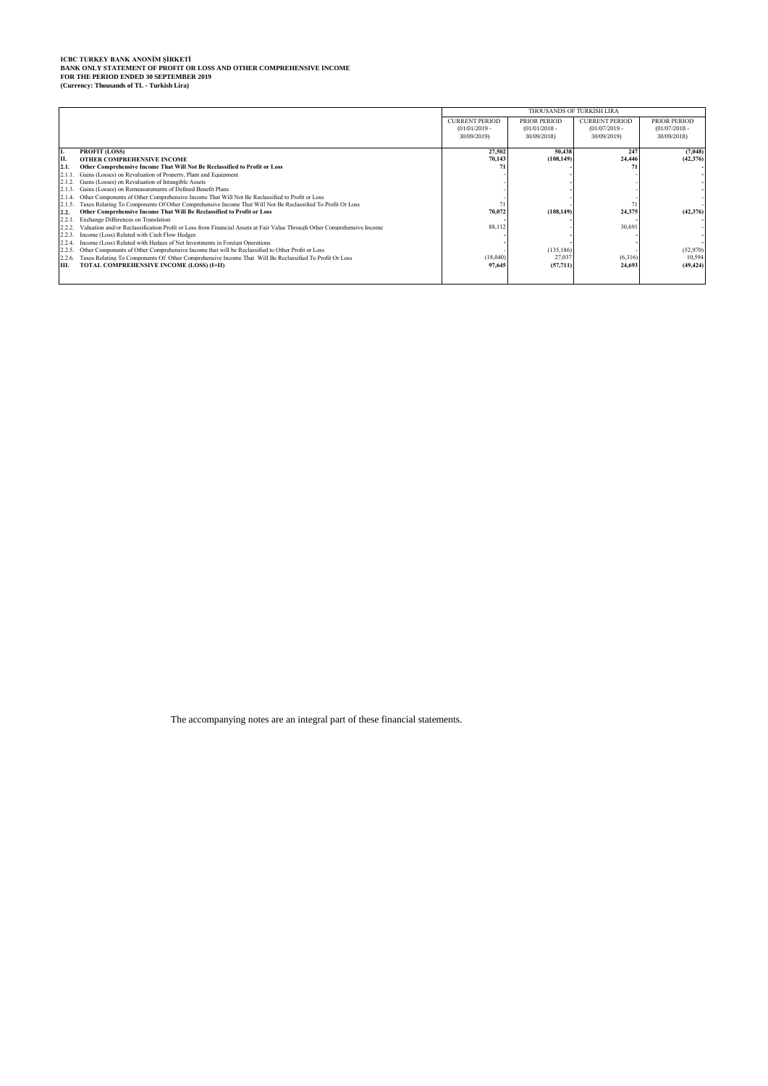# ICBC TURKEY BANK ANONİM ŞİRKETİ<br>BANK ONLY STATEMENT OF PROFIT OR LOSS AND OTHER COMPREHENSIVE INCOME<br>FOR THE PERIOD ENDED 30 SEPTEMBER 2019<br>(Currency: Thousands of TL - Turkish Lira)

|        |                                                                                                                         |                       | THOUSANDS OF TURKISH LIRA |                       |                 |  |  |
|--------|-------------------------------------------------------------------------------------------------------------------------|-----------------------|---------------------------|-----------------------|-----------------|--|--|
|        |                                                                                                                         | <b>CURRENT PERIOD</b> | <b>PRIOR PERIOD</b>       | <b>CURRENT PERIOD</b> | PRIOR PERIOD    |  |  |
|        |                                                                                                                         | $(01/01/2019 -$       | $(01/01/2018 -$           | $(01/07/2019 -$       | $(01/07/2018 -$ |  |  |
|        |                                                                                                                         | 30/09/2019)           | 30/09/2018)               | 30/09/2019)           | 30/09/2018)     |  |  |
| П.     | <b>PROFIT (LOSS)</b>                                                                                                    | 27.502                | 50.438                    | 247                   | (7,048)         |  |  |
| Iп.    | OTHER COMPREHENSIVE INCOME                                                                                              | 70.143                | (108, 149)                | 24,446                | (42, 376)       |  |  |
| 2.1.   | Other Comprehensive Income That Will Not Be Reclassified to Profit or Loss                                              |                       |                           |                       |                 |  |  |
|        | Gains (Losses) on Revaluation of Property, Plant and Equipment                                                          |                       |                           |                       |                 |  |  |
| 2.1.2. | Gains (Losses) on Revaluation of Intangible Assets                                                                      |                       |                           |                       |                 |  |  |
|        | Gains (Losses) on Remeasurements of Defined Benefit Plans                                                               |                       |                           |                       |                 |  |  |
|        | Other Components of Other Comprehensive Income That Will Not Be Reclassified to Profit or Loss                          |                       |                           |                       |                 |  |  |
| 2.1.5. | Taxes Relating To Components Of Other Comprehensive Income That Will Not Be Reclassified To Profit Or Loss              |                       |                           |                       |                 |  |  |
| 2.2.   | Other Comprehensive Income That Will Be Reclassified to Profit or Loss                                                  | 70.072                | (108.149)                 | 24.375                | (42, 376)       |  |  |
| 2.2.1  | Exchange Differences on Translation                                                                                     |                       |                           |                       |                 |  |  |
|        | Valuation and/or Reclassification Profit or Loss from Financial Assets at Fair Value Through Other Comprehensive Income | 88,112                |                           | 30.691                |                 |  |  |
| 2.2.3. | Income (Loss) Related with Cash Flow Hedges                                                                             |                       |                           |                       |                 |  |  |
|        | Income (Loss) Related with Hedges of Net Investments in Foreign Operations                                              |                       |                           |                       |                 |  |  |
|        | Other Components of Other Comprehensive Income that will be Reclassified to Other Profit or Loss                        |                       | (135, 186)                |                       | (52,970)        |  |  |
| 2.2.6. | Taxes Relating To Components Of Other Comprehensive Income That Will Be Reclassified To Profit Or Loss                  | (18,040)              | 27,037                    | (6.316)               | 10.594          |  |  |
| Ш.     | TOTAL COMPREHENSIVE INCOME (LOSS) (I+II)                                                                                | 97.645                | (57, 711)                 | 24,693                | (49, 424)       |  |  |
|        |                                                                                                                         |                       |                           |                       |                 |  |  |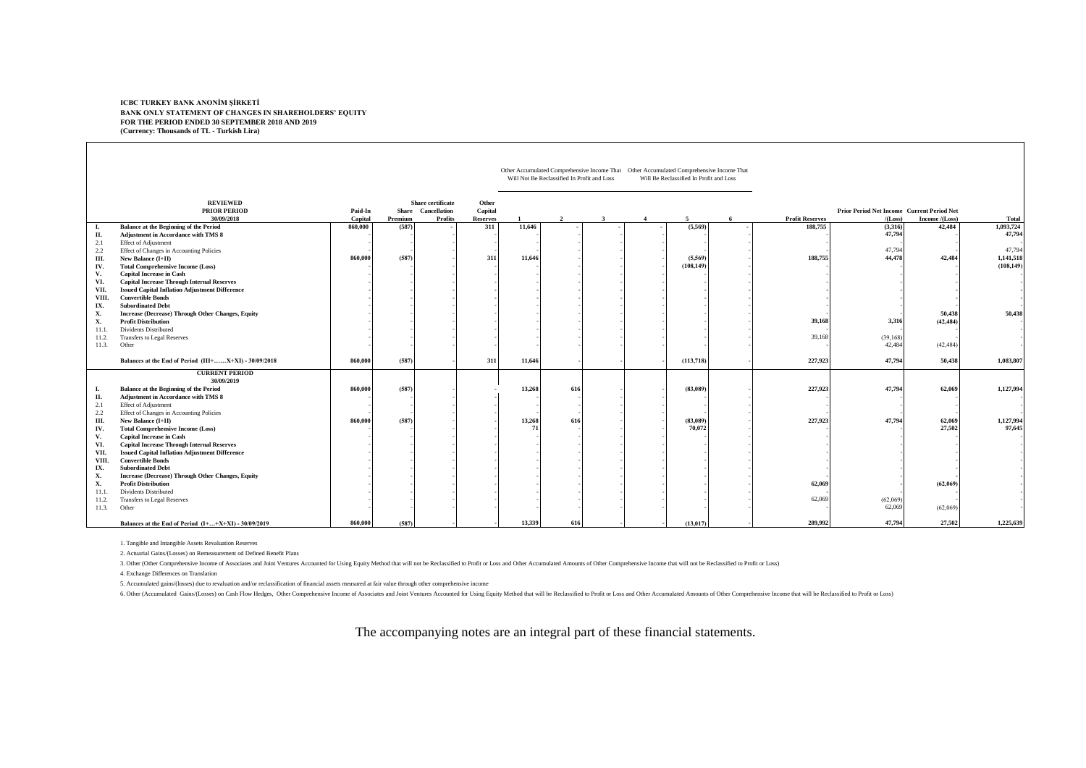#### **FOR THE PERIOD ENDED 30 SEPTEMBER 2018 AND 2019 (Currency: Thousands of TL - Turkish Lira) ICBC TURKEY BANK ANONİM ŞİRKETİ BANK ONLY STATEMENT OF CHANGES IN SHAREHOLDERS' EQUITY**

|                 |                                                                                                                            |         |         |                                         |                  |              | Will Not Be Reclassified In Profit and Loss |    | Other Accumulated Comprehensive Income That  Other Accumulated Comprehensive Income That<br>Will Be Reclassified In Profit and Loss |   |                        |                                                   |                |                     |
|-----------------|----------------------------------------------------------------------------------------------------------------------------|---------|---------|-----------------------------------------|------------------|--------------|---------------------------------------------|----|-------------------------------------------------------------------------------------------------------------------------------------|---|------------------------|---------------------------------------------------|----------------|---------------------|
|                 | <b>REVIEWED</b><br><b>PRIOR PERIOD</b>                                                                                     | Paid-In |         | Share certificate<br>Share Cancellation | Other<br>Capital |              |                                             |    |                                                                                                                                     |   |                        | <b>Prior Period Net Income Current Period Net</b> |                |                     |
|                 | 30/09/2018                                                                                                                 | Capital | Premium | <b>Profits</b>                          | <b>Reserves</b>  |              |                                             | -3 | 5.                                                                                                                                  | 6 | <b>Profit Reserves</b> | /(Loss)                                           | Income /(Loss) | Total               |
| л.<br>П.<br>2.1 | <b>Balance at the Beginning of the Period</b><br><b>Adjustment in Accordance with TMS 8</b><br><b>Effect of Adjustment</b> | 860,000 | (587)   |                                         | 311              | 11,646       |                                             |    | (5,569)                                                                                                                             |   | 188,755                | (3,316)<br>47,794                                 | 42,484         | 1,093,724<br>47,794 |
| 2.2             | Effect of Changes in Accounting Policies                                                                                   |         |         |                                         |                  |              |                                             |    |                                                                                                                                     |   |                        | 47,794                                            |                | 47,794              |
| Ш.              | New Balance (I+II)                                                                                                         | 860,000 | (587)   |                                         | 311              | 11,646       |                                             |    | (5,569)                                                                                                                             |   | 188,755                | 44,478                                            | 42,484         | 1,141,518           |
| IV.             | <b>Total Comprehensive Income (Loss)</b>                                                                                   |         |         |                                         |                  |              |                                             |    | (108, 149)                                                                                                                          |   |                        |                                                   |                | (108, 149)          |
| V.              | <b>Capital Increase in Cash</b>                                                                                            |         |         |                                         |                  |              |                                             |    |                                                                                                                                     |   |                        |                                                   |                |                     |
| VI.             | <b>Capital Increase Through Internal Reserves</b>                                                                          |         |         |                                         |                  |              |                                             |    |                                                                                                                                     |   |                        |                                                   |                |                     |
| VII.            | <b>Issued Capital Inflation Adjustment Difference</b>                                                                      |         |         |                                         |                  |              |                                             |    |                                                                                                                                     |   |                        |                                                   |                |                     |
| VIII.           | <b>Convertible Bonds</b>                                                                                                   |         |         |                                         |                  |              |                                             |    |                                                                                                                                     |   |                        |                                                   |                |                     |
| IX.             | <b>Subordinated Debt</b>                                                                                                   |         |         |                                         |                  |              |                                             |    |                                                                                                                                     |   |                        |                                                   |                |                     |
| Х.              | <b>Increase (Decrease) Through Other Changes, Equity</b>                                                                   |         |         |                                         |                  |              |                                             |    |                                                                                                                                     |   |                        |                                                   | 50,438         | 50,438              |
| Х.              | <b>Profit Distribution</b>                                                                                                 |         |         |                                         |                  |              |                                             |    |                                                                                                                                     |   | 39,168                 | 3,316                                             | (42, 484)      |                     |
| 11.1.           | <b>Dividents Distributed</b>                                                                                               |         |         |                                         |                  |              |                                             |    |                                                                                                                                     |   |                        |                                                   |                |                     |
| 11.2.           | Transfers to Legal Reserves                                                                                                |         |         |                                         |                  |              |                                             |    |                                                                                                                                     |   | 39,168                 | (39, 168)                                         |                |                     |
| 11.3.           | Other                                                                                                                      |         |         |                                         |                  |              |                                             |    |                                                                                                                                     |   |                        | 42,484                                            | (42, 484)      |                     |
|                 | Balances at the End of Period (III+X+XI) - 30/09/2018                                                                      | 860,000 | (587)   |                                         | 311              | 11,646       |                                             |    | (113, 718)                                                                                                                          |   | 227,923                | 47,794                                            | 50,438         | 1,083,807           |
|                 | <b>CURRENT PERIOD</b><br>30/09/2019                                                                                        |         |         |                                         |                  |              |                                             |    |                                                                                                                                     |   |                        |                                                   |                |                     |
| л.              | <b>Balance at the Beginning of the Period</b><br>Adjustment in Accordance with TMS 8                                       | 860,000 | (587)   |                                         |                  | 13,268       | 616                                         |    | (83,089)                                                                                                                            |   | 227,923                | 47,794                                            | 62,069         | 1,127,994           |
| П.<br>2.1       | <b>Effect of Adjustment</b>                                                                                                |         |         |                                         |                  |              |                                             |    |                                                                                                                                     |   |                        |                                                   |                |                     |
| 2.2             | Effect of Changes in Accounting Policies                                                                                   |         |         |                                         |                  |              |                                             |    |                                                                                                                                     |   |                        |                                                   |                |                     |
| Ш.              | New Balance (I+II)                                                                                                         | 860,000 | (587)   |                                         |                  | 13,268       | 616                                         |    | (83,089)                                                                                                                            |   | 227,923                | 47,794                                            | 62,069         | 1,127,994           |
| IV.             | <b>Total Comprehensive Income (Loss)</b>                                                                                   |         |         |                                         |                  | $\mathbf{7}$ |                                             |    | 70.072                                                                                                                              |   |                        |                                                   | 27.502         | 97,645              |
| V.              | <b>Capital Increase in Cash</b>                                                                                            |         |         |                                         |                  |              |                                             |    |                                                                                                                                     |   |                        |                                                   |                |                     |
| VI.             | <b>Capital Increase Through Internal Reserves</b>                                                                          |         |         |                                         |                  |              |                                             |    |                                                                                                                                     |   |                        |                                                   |                |                     |
| VII.            | <b>Issued Capital Inflation Adjustment Difference</b>                                                                      |         |         |                                         |                  |              |                                             |    |                                                                                                                                     |   |                        |                                                   |                |                     |
| VIII.           | <b>Convertible Bonds</b>                                                                                                   |         |         |                                         |                  |              |                                             |    |                                                                                                                                     |   |                        |                                                   |                |                     |
| IX.             | <b>Subordinated Debt</b>                                                                                                   |         |         |                                         |                  |              |                                             |    |                                                                                                                                     |   |                        |                                                   |                |                     |
| Х.              | <b>Increase (Decrease) Through Other Changes, Equity</b>                                                                   |         |         |                                         |                  |              |                                             |    |                                                                                                                                     |   |                        |                                                   |                |                     |
| Х.              | <b>Profit Distribution</b>                                                                                                 |         |         |                                         |                  |              |                                             |    |                                                                                                                                     |   | 62,069                 |                                                   | (62,069)       |                     |
| 11.1.           | <b>Dividents Distributed</b>                                                                                               |         |         |                                         |                  |              |                                             |    |                                                                                                                                     |   |                        |                                                   |                |                     |
| 11.2.           | Transfers to Legal Reserves                                                                                                |         |         |                                         |                  |              |                                             |    |                                                                                                                                     |   | 62,069                 | (62,069)                                          |                |                     |
| 11.3.           | Other                                                                                                                      |         |         |                                         |                  |              |                                             |    |                                                                                                                                     |   |                        | 62,069                                            | (62,069)       |                     |
|                 | Balances at the End of Period (I++X+XI) - 30/09/2019                                                                       | 860,000 | (587)   |                                         |                  | 13.339       | 616                                         |    | (13, 017)                                                                                                                           |   | 289.992                | 47,794                                            | 27.502         | 1,225,639           |

1. Tangible and Intangible Assets Revaluation Reserves

2. Actuarial Gains/(Losses) on Remeasurement od Defined Benefit Plans

3. Other (Other Comprehensive Income of Associates and Joint Ventures Accounted for Using Equity Method that will not be Reclassified to Profit or Loss and Other Accumulated Amounts of Other Comprehensive Income that will

4. Exchange Differences on Translation

5. Accumulated gains/(losses) due to revaluation and/or reclassification of financial assets measured at fair value through other comprehensive income

6. Other (Accumulated Gains/(Losses) on Cash Flow Hedges, Other Comprehensive Income of Associates and Joint Ventures Accounted for Using Equity Method that will be Reclassified to Profit or Loss and Other Accumulated Amou